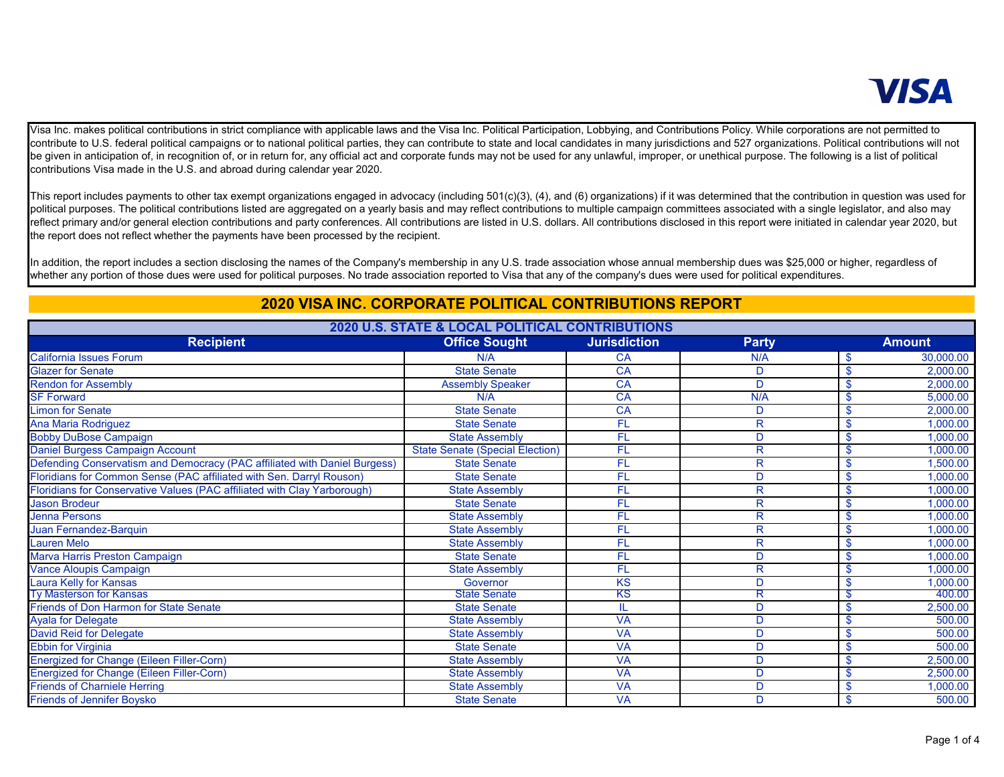## **VISA**

 Visa Inc. makes political contributions in strict compliance with applicable laws and the Visa Inc. Political Participation, Lobbying, and Contributions Policy. While corporations are not permitted to contribute to U.S. federal political campaigns or to national political parties, they can contribute to state and local candidates in many jurisdictions and 527 organizations. Political contributions will not be given in anticipation of, in recognition of, or in return for, any official act and corporate funds may not be used for any unlawful, improper, or unethical purpose. The following is a list of political contributions Visa made in the U.S. and abroad during calendar year 2020.

 This report includes payments to other tax exempt organizations engaged in advocacy (including 501(c)(3), (4), and (6) organizations) if it was determined that the contribution in question was used for political purposes. The political contributions listed are aggregated on a yearly basis and may reflect contributions to multiple campaign committees associated with a single legislator, and also may reflect primary and/or general election contributions and party conferences. All contributions are listed in U.S. dollars. All contributions disclosed in this report were initiated in calendar year 2020, but the report does not reflect whether the payments have been processed by the recipient.

 In addition, the report includes a section disclosing the names of the Company's membership in any U.S. trade association whose annual membership dues was \$25,000 or higher, regardless of whether any portion of those dues were used for political purposes. No trade association reported to Visa that any of the company's dues were used for political expenditures.

## **2020 VISA INC. CORPORATE POLITICAL CONTRIBUTIONS REPORT**

| 2020 U.S. STATE & LOCAL POLITICAL CONTRIBUTIONS                           |                                        |                     |              |               |           |
|---------------------------------------------------------------------------|----------------------------------------|---------------------|--------------|---------------|-----------|
| <b>Recipient</b>                                                          | <b>Office Sought</b>                   | <b>Jurisdiction</b> | <b>Party</b> |               | Amount    |
| <b>California Issues Forum</b>                                            | N/A                                    | <b>CA</b>           | N/A          | -\$           | 30,000.00 |
| <b>Glazer for Senate</b>                                                  | <b>State Senate</b>                    | CA                  | D            | -\$           | 2,000.00  |
| <b>Rendon for Assembly</b>                                                | <b>Assembly Speaker</b>                | CA                  | D            | <sup>\$</sup> | 2,000.00  |
| <b>SF Forward</b>                                                         | N/A                                    | CA                  | N/A          | \$            | 5,000.00  |
| <b>Limon for Senate</b>                                                   | State Senate                           | CA                  | D            | \$            | 2,000.00  |
| Ana Maria Rodriguez                                                       | <b>State Senate</b>                    | FL                  | $\mathsf{R}$ | -\$           | 1,000.00  |
| <b>Bobby DuBose Campaign</b>                                              | <b>State Assembly</b>                  | FL                  | D            | -\$           | 1,000.00  |
| Daniel Burgess Campaign Account                                           | <b>State Senate (Special Election)</b> | FL                  | $\mathsf{R}$ | -S            | 1,000.00  |
| Defending Conservatism and Democracy (PAC affiliated with Daniel Burgess) | <b>State Senate</b>                    | FL                  | R            | S.            | 1,500.00  |
| Floridians for Common Sense (PAC affiliated with Sen. Darryl Rouson)      | <b>State Senate</b>                    | FL                  | D            | <sup>\$</sup> | 1.000.00  |
| Floridians for Conservative Values (PAC affiliated with Clay Yarborough)  | <b>State Assembly</b>                  | FL                  | $\mathsf{R}$ | -\$           | 1,000.00  |
| <b>Jason Brodeur</b>                                                      | <b>State Senate</b>                    | FL                  | $\mathsf{R}$ | S.            | 1,000.00  |
| Jenna Persons                                                             | <b>State Assembly</b>                  | <b>FL</b>           | R            | S.            | 1,000.00  |
| Juan Fernandez-Barquin                                                    | <b>State Assembly</b>                  | FL                  | R            | \$            | 1,000.00  |
| <b>Lauren Melo</b>                                                        | <b>State Assembly</b>                  | FL                  | R            | -\$           | 1,000.00  |
| Marva Harris Preston Campaign                                             | <b>State Senate</b>                    | FL                  | D            | -\$           | 1,000.00  |
| Vance Aloupis Campaign                                                    | <b>State Assembly</b>                  | FL                  | $\mathsf{R}$ | -S            | 1,000.00  |
| Laura Kelly for Kansas                                                    | Governor                               | KS                  | D            | -\$           | 1,000.00  |
| <b>Ty Masterson for Kansas</b>                                            | <b>State Senate</b>                    | κs                  |              | উ             | 400.00    |
| <b>Friends of Don Harmon for State Senate</b>                             | <b>State Senate</b>                    |                     | D            | <sup>\$</sup> | 2,500.00  |
| <b>Ayala for Delegate</b>                                                 | <b>State Assembly</b>                  | <b>VA</b>           | D            | S.            | 500.00    |
| <b>David Reid for Delegate</b>                                            | <b>State Assembly</b>                  | <b>VA</b>           | D            | \$            | 500.00    |
| <b>Ebbin for Virginia</b>                                                 | <b>State Senate</b>                    | <b>VA</b>           | D            | -\$           | 500.00    |
| <b>Energized for Change (Eileen Filler-Corn)</b>                          | <b>State Assembly</b>                  | <b>VA</b>           | D            | -\$           | 2,500.00  |
| Energized for Change (Eileen Filler-Corn)                                 | <b>State Assembly</b>                  | <b>VA</b>           | D            | -S            | 2,500.00  |
| <b>Friends of Charniele Herring</b>                                       | <b>State Assembly</b>                  | <b>VA</b>           | D            | \$            | 1,000.00  |
| <b>Friends of Jennifer Boysko</b>                                         | <b>State Senate</b>                    | <b>VA</b>           | D            | \$            | 500.00    |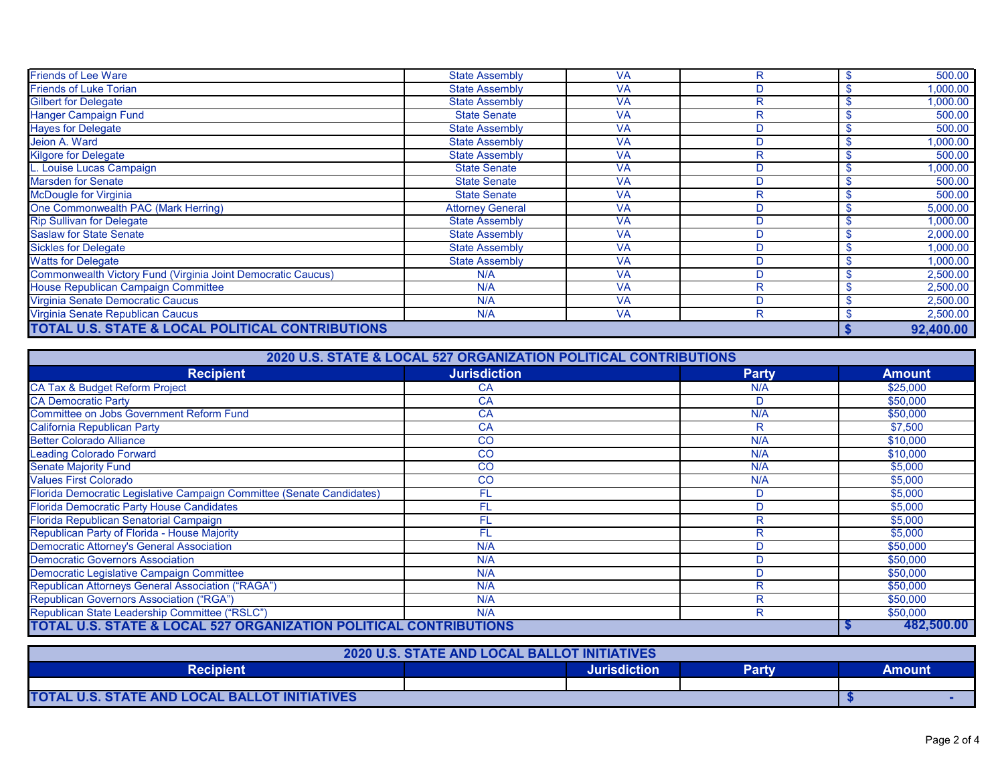| <b>Friends of Lee Ware</b>                                   | <b>State Assembly</b>   | <b>VA</b> | R            | 500.00    |
|--------------------------------------------------------------|-------------------------|-----------|--------------|-----------|
| <b>Friends of Luke Torian</b>                                | <b>State Assembly</b>   | <b>VA</b> | D            | 1,000.00  |
| <b>Gilbert for Delegate</b>                                  | <b>State Assembly</b>   | <b>VA</b> | R            | 1,000.00  |
| Hanger Campaign Fund                                         | <b>State Senate</b>     | <b>VA</b> | R            | 500.00    |
| <b>Hayes for Delegate</b>                                    | <b>State Assembly</b>   | <b>VA</b> | D            | 500.00    |
| Jeion A. Ward                                                | <b>State Assembly</b>   | <b>VA</b> | D            | 1,000.00  |
| <b>Kilgore for Delegate</b>                                  | <b>State Assembly</b>   | <b>VA</b> | $\mathsf{R}$ | 500.00    |
| Louise Lucas Campaign                                        | <b>State Senate</b>     | <b>VA</b> | D            | 1,000.00  |
| Marsden for Senate                                           | <b>State Senate</b>     | <b>VA</b> | D            | 500.00    |
| McDougle for Virginia                                        | <b>State Senate</b>     | <b>VA</b> | R            | 500.00    |
| One Commonwealth PAC (Mark Herring)                          | <b>Attorney General</b> | <b>VA</b> | D            | 5,000.00  |
| <b>Rip Sullivan for Delegate</b>                             | <b>State Assembly</b>   | <b>VA</b> | D            | 1,000.00  |
| <b>Saslaw for State Senate</b>                               | <b>State Assembly</b>   | <b>VA</b> | D.           | 2,000.00  |
| <b>Sickles for Delegate</b>                                  | <b>State Assembly</b>   | <b>VA</b> | D            | 1,000.00  |
| <b>Watts for Delegate</b>                                    | <b>State Assembly</b>   | <b>VA</b> | D            | 1,000.00  |
| Commonwealth Victory Fund (Virginia Joint Democratic Caucus) | N/A                     | <b>VA</b> | D.           | 2,500.00  |
| House Republican Campaign Committee                          | N/A                     | <b>VA</b> | R            | 2,500.00  |
| Virginia Senate Democratic Caucus                            | N/A                     | <b>VA</b> | D            | 2,500.00  |
| Virginia Senate Republican Caucus                            | N/A                     | <b>VA</b> | R            | 2,500.00  |
| TOTAL U.S. STATE & LOCAL POLITICAL CONTRIBUTIONS             |                         |           |              | 92,400.00 |

| 2020 U.S. STATE & LOCAL 527 ORGANIZATION POLITICAL CONTRIBUTIONS      |                     |              |               |  |
|-----------------------------------------------------------------------|---------------------|--------------|---------------|--|
| <b>Recipient</b>                                                      | <b>Jurisdiction</b> | <b>Party</b> | <b>Amount</b> |  |
| CA Tax & Budget Reform Project                                        | <b>CA</b>           | N/A          | \$25,000      |  |
| CA Democratic Party                                                   | CA                  | D            | \$50,000      |  |
| Committee on Jobs Government Reform Fund                              | CA                  | N/A          | \$50,000      |  |
| California Republican Party                                           | CA                  | R            | \$7,500       |  |
| <b>Better Colorado Alliance</b>                                       | CO                  | N/A          | \$10,000      |  |
| <b>Leading Colorado Forward</b>                                       | <b>CO</b>           | N/A          | \$10,000      |  |
| <b>Senate Majority Fund</b>                                           | CO                  | N/A          | \$5,000       |  |
| <b>Values First Colorado</b>                                          | <b>CO</b>           | N/A          | \$5,000       |  |
| Florida Democratic Legislative Campaign Committee (Senate Candidates) | FL                  | D            | \$5,000       |  |
| Florida Democratic Party House Candidates                             | FL                  | D            | \$5,000       |  |
| Florida Republican Senatorial Campaign                                | FL                  | R            | \$5,000       |  |
| Republican Party of Florida - House Majority                          | FL                  | R            | \$5,000       |  |
| Democratic Attorney's General Association                             | N/A                 | D            | \$50,000      |  |
| <b>Democratic Governors Association</b>                               | N/A                 | D            | \$50,000      |  |
| Democratic Legislative Campaign Committee                             | N/A                 | D            | \$50,000      |  |
| Republican Attorneys General Association ("RAGA")                     | N/A                 | R            | \$50,000      |  |
| <b>Republican Governors Association ("RGA")</b>                       | N/A                 | R            | \$50,000      |  |
| Republican State Leadership Committee ("RSLC")                        | N/A                 | R            | \$50,000      |  |
| TOTAL U.S. STATE & LOCAL 527 ORGANIZATION POLITICAL CONTRIBUTIONS     |                     |              | 482.500.00    |  |

|                                               | <b>2020 U.S. STATE AND LOCAL BALLOT INITIATIVES</b> |                     |       |        |
|-----------------------------------------------|-----------------------------------------------------|---------------------|-------|--------|
| <b>Recipient</b>                              |                                                     | <b>Jurisdiction</b> | Party | Amount |
|                                               |                                                     |                     |       |        |
| TOTAL U.S. STATE AND LOCAL BALLOT INITIATIVES |                                                     |                     |       |        |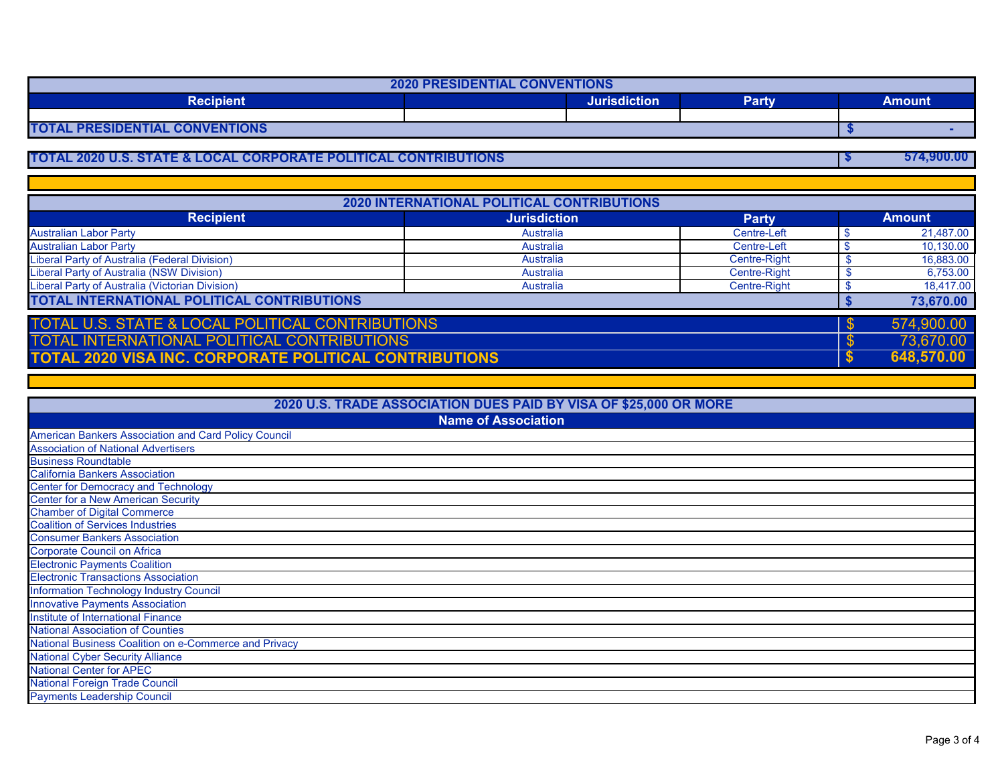| <b>2020 PRESIDENTIAL CONVENTIONS</b>  |  |                     |       |        |
|---------------------------------------|--|---------------------|-------|--------|
| <b>Recipient</b>                      |  | <b>Jurisdiction</b> | Party | Amount |
|                                       |  |                     |       |        |
| <b>TOTAL PRESIDENTIAL CONVENTIONS</b> |  |                     |       |        |

## **TOTAL 2020 U.S. STATE & LOCAL CORPORATE POLITICAL CONTRIBUTIONS \$ 574,900.00**

| <b>2020 INTERNATIONAL POLITICAL CONTRIBUTIONS</b>             |                     |              |  |               |
|---------------------------------------------------------------|---------------------|--------------|--|---------------|
| <b>Recipient</b>                                              | <b>Jurisdiction</b> | <b>Party</b> |  | <b>Amount</b> |
| <b>Australian Labor Party</b>                                 | Australia           | Centre-Left  |  | 21,487.00     |
| <b>Australian Labor Party</b>                                 | Australia           | Centre-Left  |  | 10,130.00     |
| Liberal Party of Australia (Federal Division)                 | Australia           | Centre-Right |  | 16,883.00     |
| Liberal Party of Australia (NSW Division)                     | Australia           | Centre-Right |  | 6,753.00      |
| Liberal Party of Australia (Victorian Division)               | Australia           | Centre-Right |  | 18,417.00     |
| TOTAL INTERNATIONAL POLITICAL CONTRIBUTIONS                   |                     |              |  | 73,670.00     |
| <b>TOTAL U.S. STATE &amp; LOCAL POLITICAL CONTRIBUTIONS</b>   |                     |              |  | 574,900.00    |
| <b>TOTAL INTERNATIONAL POLITICAL CONTRIBUTIONS</b>            |                     |              |  | 73,670.00     |
| <b>TOTAL 2020 VISA INC. CORPORATE POLITICAL CONTRIBUTIONS</b> |                     |              |  | 648,570.00    |

| 2020 U.S. TRADE ASSOCIATION DUES PAID BY VISA OF \$25,000 OR MORE |  |  |  |
|-------------------------------------------------------------------|--|--|--|
| <b>Name of Association</b>                                        |  |  |  |
| American Bankers Association and Card Policy Council              |  |  |  |
| <b>Association of National Advertisers</b>                        |  |  |  |
| <b>Business Roundtable</b>                                        |  |  |  |
| <b>California Bankers Association</b>                             |  |  |  |
| <b>Center for Democracy and Technology</b>                        |  |  |  |
| Center for a New American Security                                |  |  |  |
| <b>Chamber of Digital Commerce</b>                                |  |  |  |
| <b>Coalition of Services Industries</b>                           |  |  |  |
| <b>Consumer Bankers Association</b>                               |  |  |  |
| <b>Corporate Council on Africa</b>                                |  |  |  |
| <b>Electronic Payments Coalition</b>                              |  |  |  |
| <b>Electronic Transactions Association</b>                        |  |  |  |
| nformation Technology Industry Council                            |  |  |  |
| nnovative Payments Association                                    |  |  |  |
| nstitute of International Finance                                 |  |  |  |
| <b>National Association of Counties</b>                           |  |  |  |
| <b>National Business Coalition on e-Commerce and Privacy</b>      |  |  |  |
| <b>National Cyber Security Alliance</b>                           |  |  |  |
| <b>Vational Center for APEC</b>                                   |  |  |  |
| <b>National Foreign Trade Council</b>                             |  |  |  |
| <b>Payments Leadership Council</b>                                |  |  |  |